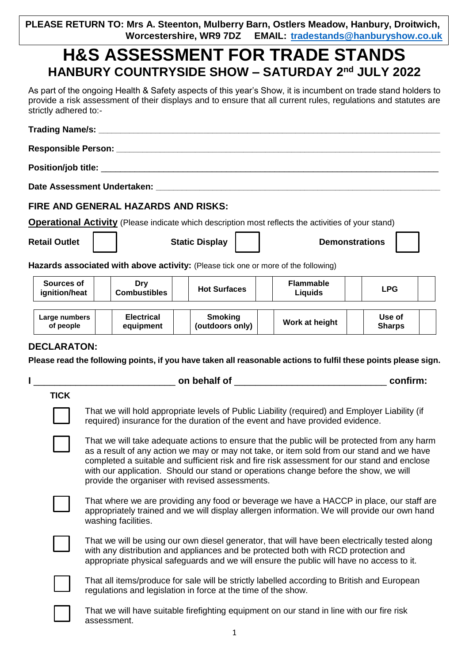**PLEASE RETURN TO: Mrs A. Steenton, Mulberry Barn, Ostlers Meadow, Hanbury, Droitwich, EMAIL: [tradestands@hanburyshow.co.uk](mailto:tradestands@hanburyshow.co.uk)** 

## **H&S ASSESSMENT FOR TRADE STANDS HANBURY COUNTRYSIDE SHOW – SATURDAY 2nd JULY 2022**

As part of the ongoing Health & Safety aspects of this year's Show, it is incumbent on trade stand holders to provide a risk assessment of their displays and to ensure that all current rules, regulations and statutes are strictly adhered to:-

|                             |                                                                                                                                                                                                                                                                                                                                                                                                                                     | FIRE AND GENERAL HAZARDS AND RISKS: |                                                                                                            |                                    |                                                                                                                |  |  |
|-----------------------------|-------------------------------------------------------------------------------------------------------------------------------------------------------------------------------------------------------------------------------------------------------------------------------------------------------------------------------------------------------------------------------------------------------------------------------------|-------------------------------------|------------------------------------------------------------------------------------------------------------|------------------------------------|----------------------------------------------------------------------------------------------------------------|--|--|
|                             |                                                                                                                                                                                                                                                                                                                                                                                                                                     |                                     | <b>Operational Activity</b> (Please indicate which description most reflects the activities of your stand) |                                    |                                                                                                                |  |  |
| <b>Retail Outlet</b>        |                                                                                                                                                                                                                                                                                                                                                                                                                                     |                                     | <b>Static Display</b>                                                                                      |                                    | <b>Demonstrations</b>                                                                                          |  |  |
|                             |                                                                                                                                                                                                                                                                                                                                                                                                                                     |                                     | Hazards associated with above activity: (Please tick one or more of the following)                         |                                    |                                                                                                                |  |  |
| Sources of<br>ignition/heat |                                                                                                                                                                                                                                                                                                                                                                                                                                     | <b>Dry</b><br><b>Combustibles</b>   | <b>Hot Surfaces</b>                                                                                        | <b>Flammable</b><br><b>Liquids</b> | <b>LPG</b>                                                                                                     |  |  |
| Large numbers<br>of people  | <b>Electrical</b><br>Use of<br><b>Smoking</b><br>Work at height<br>(outdoors only)<br>equipment<br><b>Sharps</b>                                                                                                                                                                                                                                                                                                                    |                                     |                                                                                                            |                                    |                                                                                                                |  |  |
|                             |                                                                                                                                                                                                                                                                                                                                                                                                                                     |                                     |                                                                                                            |                                    | Please read the following points, if you have taken all reasonable actions to fulfil these points please sign. |  |  |
|                             |                                                                                                                                                                                                                                                                                                                                                                                                                                     |                                     |                                                                                                            |                                    |                                                                                                                |  |  |
|                             | <b>TICK</b><br>That we will hold appropriate levels of Public Liability (required) and Employer Liability (if<br>required) insurance for the duration of the event and have provided evidence.                                                                                                                                                                                                                                      |                                     |                                                                                                            |                                    |                                                                                                                |  |  |
|                             | That we will take adequate actions to ensure that the public will be protected from any harm<br>as a result of any action we may or may not take, or item sold from our stand and we have<br>completed a suitable and sufficient risk and fire risk assessment for our stand and enclose<br>with our application. Should our stand or operations change before the show, we will<br>provide the organiser with revised assessments. |                                     |                                                                                                            |                                    |                                                                                                                |  |  |
|                             | That where we are providing any food or beverage we have a HACCP in place, our staff are<br>appropriately trained and we will display allergen information. We will provide our own hand<br>washing facilities.                                                                                                                                                                                                                     |                                     |                                                                                                            |                                    |                                                                                                                |  |  |
|                             | That we will be using our own diesel generator, that will have been electrically tested along<br>with any distribution and appliances and be protected both with RCD protection and<br>appropriate physical safeguards and we will ensure the public will have no access to it.                                                                                                                                                     |                                     |                                                                                                            |                                    |                                                                                                                |  |  |
|                             | That all items/produce for sale will be strictly labelled according to British and European<br>regulations and legislation in force at the time of the show.                                                                                                                                                                                                                                                                        |                                     |                                                                                                            |                                    |                                                                                                                |  |  |
|                             | That we will have suitable firefighting equipment on our stand in line with our fire risk<br>assessment.                                                                                                                                                                                                                                                                                                                            |                                     |                                                                                                            |                                    |                                                                                                                |  |  |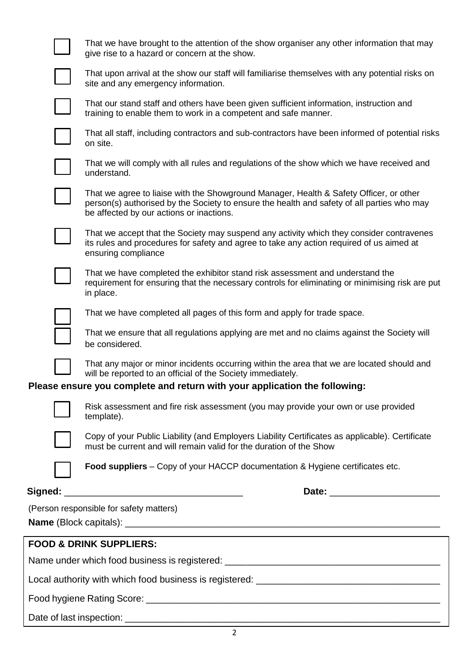|  | That we have brought to the attention of the show organiser any other information that may<br>give rise to a hazard or concern at the show.                                                                                      |  |  |  |  |
|--|----------------------------------------------------------------------------------------------------------------------------------------------------------------------------------------------------------------------------------|--|--|--|--|
|  | That upon arrival at the show our staff will familiarise themselves with any potential risks on<br>site and any emergency information.                                                                                           |  |  |  |  |
|  | That our stand staff and others have been given sufficient information, instruction and<br>training to enable them to work in a competent and safe manner.                                                                       |  |  |  |  |
|  | That all staff, including contractors and sub-contractors have been informed of potential risks<br>on site.                                                                                                                      |  |  |  |  |
|  | That we will comply with all rules and regulations of the show which we have received and<br>understand.                                                                                                                         |  |  |  |  |
|  | That we agree to liaise with the Showground Manager, Health & Safety Officer, or other<br>person(s) authorised by the Society to ensure the health and safety of all parties who may<br>be affected by our actions or inactions. |  |  |  |  |
|  | That we accept that the Society may suspend any activity which they consider contravenes<br>its rules and procedures for safety and agree to take any action required of us aimed at<br>ensuring compliance                      |  |  |  |  |
|  | That we have completed the exhibitor stand risk assessment and understand the<br>requirement for ensuring that the necessary controls for eliminating or minimising risk are put<br>in place.                                    |  |  |  |  |
|  | That we have completed all pages of this form and apply for trade space.                                                                                                                                                         |  |  |  |  |
|  | That we ensure that all regulations applying are met and no claims against the Society will<br>be considered.                                                                                                                    |  |  |  |  |
|  | That any major or minor incidents occurring within the area that we are located should and<br>will be reported to an official of the Society immediately.                                                                        |  |  |  |  |
|  | Please ensure you complete and return with your application the following:                                                                                                                                                       |  |  |  |  |
|  | Risk assessment and fire risk assessment (you may provide your own or use provided<br>template).                                                                                                                                 |  |  |  |  |
|  | Copy of your Public Liability (and Employers Liability Certificates as applicable). Certificate<br>must be current and will remain valid for the duration of the Show                                                            |  |  |  |  |
|  | <b>Food suppliers</b> – Copy of your HACCP documentation & Hygiene certificates etc.                                                                                                                                             |  |  |  |  |
|  |                                                                                                                                                                                                                                  |  |  |  |  |
|  | (Person responsible for safety matters)                                                                                                                                                                                          |  |  |  |  |
|  |                                                                                                                                                                                                                                  |  |  |  |  |
|  | <b>FOOD &amp; DRINK SUPPLIERS:</b>                                                                                                                                                                                               |  |  |  |  |
|  | Name under which food business is registered: __________________________________                                                                                                                                                 |  |  |  |  |
|  |                                                                                                                                                                                                                                  |  |  |  |  |
|  |                                                                                                                                                                                                                                  |  |  |  |  |
|  |                                                                                                                                                                                                                                  |  |  |  |  |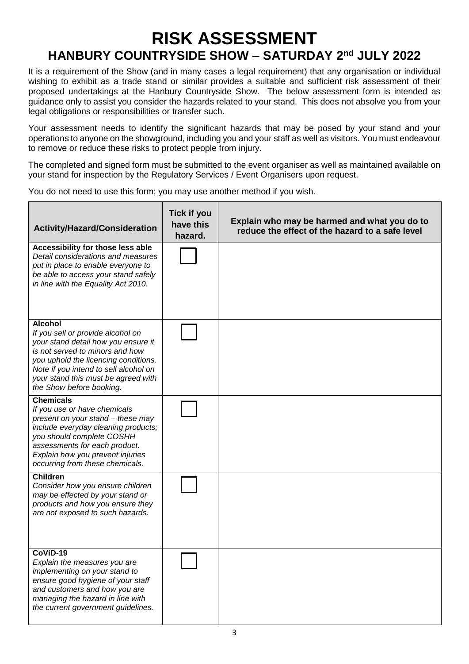## **RISK ASSESSMENT HANBURY COUNTRYSIDE SHOW – SATURDAY 2nd JULY 2022**

It is a requirement of the Show (and in many cases a legal requirement) that any organisation or individual wishing to exhibit as a trade stand or similar provides a suitable and sufficient risk assessment of their proposed undertakings at the Hanbury Countryside Show. The below assessment form is intended as guidance only to assist you consider the hazards related to your stand. This does not absolve you from your legal obligations or responsibilities or transfer such.

Your assessment needs to identify the significant hazards that may be posed by your stand and your operations to anyone on the showground, including you and your staff as well as visitors. You must endeavour to remove or reduce these risks to protect people from injury.

The completed and signed form must be submitted to the event organiser as well as maintained available on your stand for inspection by the Regulatory Services / Event Organisers upon request.

You do not need to use this form; you may use another method if you wish.

| <b>Activity/Hazard/Consideration</b>                                                                                                                                                                                                                                              | <b>Tick if you</b><br>have this<br>hazard. | Explain who may be harmed and what you do to<br>reduce the effect of the hazard to a safe level |
|-----------------------------------------------------------------------------------------------------------------------------------------------------------------------------------------------------------------------------------------------------------------------------------|--------------------------------------------|-------------------------------------------------------------------------------------------------|
| Accessibility for those less able<br>Detail considerations and measures<br>put in place to enable everyone to<br>be able to access your stand safely<br>in line with the Equality Act 2010.                                                                                       |                                            |                                                                                                 |
| <b>Alcohol</b><br>If you sell or provide alcohol on<br>your stand detail how you ensure it<br>is not served to minors and how<br>you uphold the licencing conditions.<br>Note if you intend to sell alcohol on<br>your stand this must be agreed with<br>the Show before booking. |                                            |                                                                                                 |
| <b>Chemicals</b><br>If you use or have chemicals<br>present on your stand - these may<br>include everyday cleaning products;<br>you should complete COSHH<br>assessments for each product.<br>Explain how you prevent injuries<br>occurring from these chemicals.                 |                                            |                                                                                                 |
| Children<br>Consider how you ensure children<br>may be effected by your stand or<br>products and how you ensure they<br>are not exposed to such hazards.                                                                                                                          |                                            |                                                                                                 |
| $CoViD-19$<br>Explain the measures you are<br>implementing on your stand to<br>ensure good hygiene of your staff<br>and customers and how you are<br>managing the hazard in line with<br>the current government guidelines.                                                       |                                            |                                                                                                 |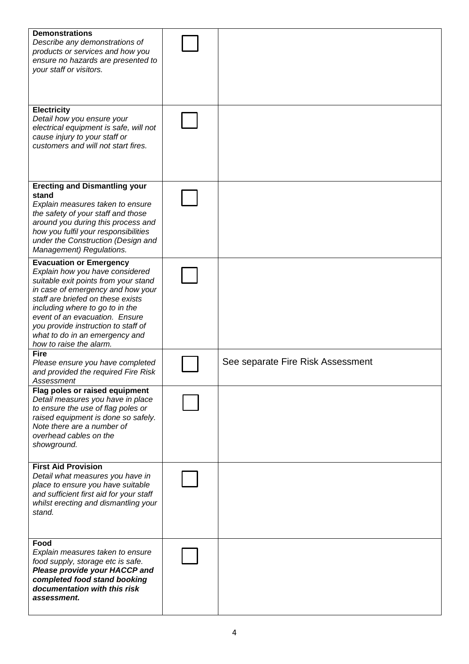| <b>Demonstrations</b><br>Describe any demonstrations of<br>products or services and how you<br>ensure no hazards are presented to<br>your staff or visitors.                                                                                                                                                                                                 |                                   |
|--------------------------------------------------------------------------------------------------------------------------------------------------------------------------------------------------------------------------------------------------------------------------------------------------------------------------------------------------------------|-----------------------------------|
| <b>Electricity</b><br>Detail how you ensure your<br>electrical equipment is safe, will not<br>cause injury to your staff or<br>customers and will not start fires.                                                                                                                                                                                           |                                   |
| <b>Erecting and Dismantling your</b><br>stand<br>Explain measures taken to ensure<br>the safety of your staff and those<br>around you during this process and<br>how you fulfil your responsibilities<br>under the Construction (Design and<br>Management) Regulations.                                                                                      |                                   |
| <b>Evacuation or Emergency</b><br>Explain how you have considered<br>suitable exit points from your stand<br>in case of emergency and how your<br>staff are briefed on these exists<br>including where to go to in the<br>event of an evacuation. Ensure<br>you provide instruction to staff of<br>what to do in an emergency and<br>how to raise the alarm. |                                   |
| <b>Fire</b><br>Please ensure you have completed<br>and provided the required Fire Risk<br>Assessment                                                                                                                                                                                                                                                         | See separate Fire Risk Assessment |
| Flag poles or raised equipment<br>Detail measures you have in place<br>to ensure the use of flag poles or<br>raised equipment is done so safely.<br>Note there are a number of<br>overhead cables on the<br>showground.                                                                                                                                      |                                   |
| <b>First Aid Provision</b><br>Detail what measures you have in<br>place to ensure you have suitable<br>and sufficient first aid for your staff<br>whilst erecting and dismantling your<br>stand.                                                                                                                                                             |                                   |
| Food<br>Explain measures taken to ensure<br>food supply, storage etc is safe.<br>Please provide your HACCP and<br>completed food stand booking<br>documentation with this risk<br>assessment.                                                                                                                                                                |                                   |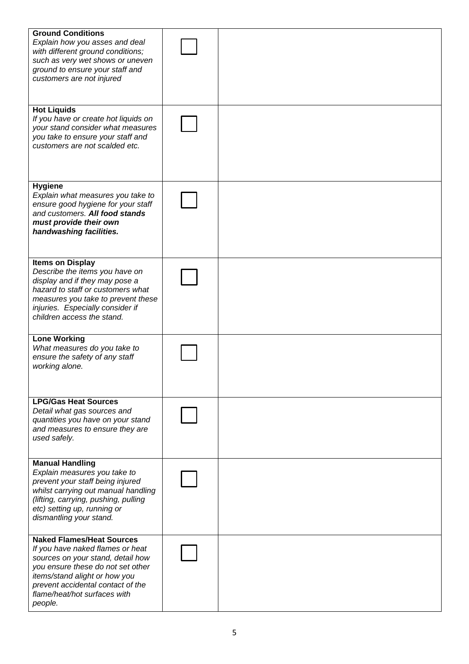| <b>Ground Conditions</b><br>Explain how you asses and deal<br>with different ground conditions;<br>such as very wet shows or uneven<br>ground to ensure your staff and<br>customers are not injured                                                             |  |
|-----------------------------------------------------------------------------------------------------------------------------------------------------------------------------------------------------------------------------------------------------------------|--|
| <b>Hot Liquids</b><br>If you have or create hot liquids on<br>your stand consider what measures<br>you take to ensure your staff and<br>customers are not scalded etc.                                                                                          |  |
| <b>Hygiene</b><br>Explain what measures you take to<br>ensure good hygiene for your staff<br>and customers. All food stands<br>must provide their own<br>handwashing facilities.                                                                                |  |
| <b>Items on Display</b><br>Describe the items you have on<br>display and if they may pose a<br>hazard to staff or customers what<br>measures you take to prevent these<br>injuries. Especially consider if<br>children access the stand.                        |  |
| <b>Lone Working</b><br>What measures do you take to<br>ensure the safety of any staff<br>working alone.                                                                                                                                                         |  |
| <b>LPG/Gas Heat Sources</b><br>Detail what gas sources and<br>quantities you have on your stand<br>and measures to ensure they are<br>used safely.                                                                                                              |  |
| <b>Manual Handling</b><br>Explain measures you take to<br>prevent your staff being injured<br>whilst carrying out manual handling<br>(lifting, carrying, pushing, pulling<br>etc) setting up, running or<br>dismantling your stand.                             |  |
| <b>Naked Flames/Heat Sources</b><br>If you have naked flames or heat<br>sources on your stand, detail how<br>you ensure these do not set other<br>items/stand alight or how you<br>prevent accidental contact of the<br>flame/heat/hot surfaces with<br>people. |  |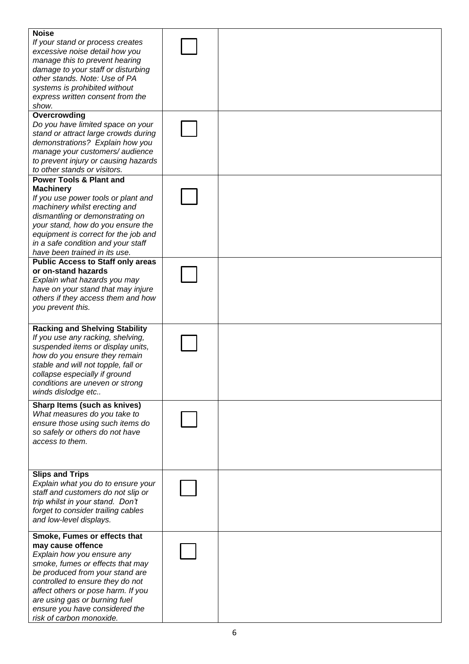| <b>Noise</b><br>If your stand or process creates<br>excessive noise detail how you<br>manage this to prevent hearing<br>damage to your staff or disturbing<br>other stands. Note: Use of PA<br>systems is prohibited without<br>express written consent from the<br>show. |  |
|---------------------------------------------------------------------------------------------------------------------------------------------------------------------------------------------------------------------------------------------------------------------------|--|
| Overcrowding                                                                                                                                                                                                                                                              |  |
| Do you have limited space on your                                                                                                                                                                                                                                         |  |
| stand or attract large crowds during                                                                                                                                                                                                                                      |  |
|                                                                                                                                                                                                                                                                           |  |
| demonstrations? Explain how you                                                                                                                                                                                                                                           |  |
| manage your customers/ audience                                                                                                                                                                                                                                           |  |
| to prevent injury or causing hazards                                                                                                                                                                                                                                      |  |
| to other stands or visitors.                                                                                                                                                                                                                                              |  |
| <b>Power Tools &amp; Plant and</b>                                                                                                                                                                                                                                        |  |
| <b>Machinery</b>                                                                                                                                                                                                                                                          |  |
| If you use power tools or plant and                                                                                                                                                                                                                                       |  |
| machinery whilst erecting and                                                                                                                                                                                                                                             |  |
| dismantling or demonstrating on                                                                                                                                                                                                                                           |  |
| your stand, how do you ensure the                                                                                                                                                                                                                                         |  |
| equipment is correct for the job and                                                                                                                                                                                                                                      |  |
| in a safe condition and your staff                                                                                                                                                                                                                                        |  |
| have been trained in its use.                                                                                                                                                                                                                                             |  |
| <b>Public Access to Staff only areas</b>                                                                                                                                                                                                                                  |  |
| or on-stand hazards                                                                                                                                                                                                                                                       |  |
| Explain what hazards you may                                                                                                                                                                                                                                              |  |
| have on your stand that may injure                                                                                                                                                                                                                                        |  |
| others if they access them and how                                                                                                                                                                                                                                        |  |
| you prevent this.                                                                                                                                                                                                                                                         |  |
|                                                                                                                                                                                                                                                                           |  |
| <b>Racking and Shelving Stability</b>                                                                                                                                                                                                                                     |  |
| If you use any racking, shelving,                                                                                                                                                                                                                                         |  |
| suspended items or display units,                                                                                                                                                                                                                                         |  |
| how do you ensure they remain                                                                                                                                                                                                                                             |  |
| stable and will not topple, fall or                                                                                                                                                                                                                                       |  |
| collapse especially if ground                                                                                                                                                                                                                                             |  |
| conditions are uneven or strong                                                                                                                                                                                                                                           |  |
| winds dislodge etc                                                                                                                                                                                                                                                        |  |
| Sharp Items (such as knives)                                                                                                                                                                                                                                              |  |
| What measures do you take to                                                                                                                                                                                                                                              |  |
| ensure those using such items do                                                                                                                                                                                                                                          |  |
| so safely or others do not have                                                                                                                                                                                                                                           |  |
| access to them.                                                                                                                                                                                                                                                           |  |
|                                                                                                                                                                                                                                                                           |  |
|                                                                                                                                                                                                                                                                           |  |
|                                                                                                                                                                                                                                                                           |  |
| <b>Slips and Trips</b>                                                                                                                                                                                                                                                    |  |
| Explain what you do to ensure your                                                                                                                                                                                                                                        |  |
| staff and customers do not slip or                                                                                                                                                                                                                                        |  |
| trip whilst in your stand. Don't                                                                                                                                                                                                                                          |  |
| forget to consider trailing cables                                                                                                                                                                                                                                        |  |
| and low-level displays.                                                                                                                                                                                                                                                   |  |
|                                                                                                                                                                                                                                                                           |  |
| Smoke, Fumes or effects that                                                                                                                                                                                                                                              |  |
| may cause offence                                                                                                                                                                                                                                                         |  |
| Explain how you ensure any                                                                                                                                                                                                                                                |  |
| smoke, fumes or effects that may                                                                                                                                                                                                                                          |  |
| be produced from your stand are                                                                                                                                                                                                                                           |  |
| controlled to ensure they do not                                                                                                                                                                                                                                          |  |
| affect others or pose harm. If you<br>are using gas or burning fuel                                                                                                                                                                                                       |  |
| ensure you have considered the                                                                                                                                                                                                                                            |  |
| risk of carbon monoxide.                                                                                                                                                                                                                                                  |  |
|                                                                                                                                                                                                                                                                           |  |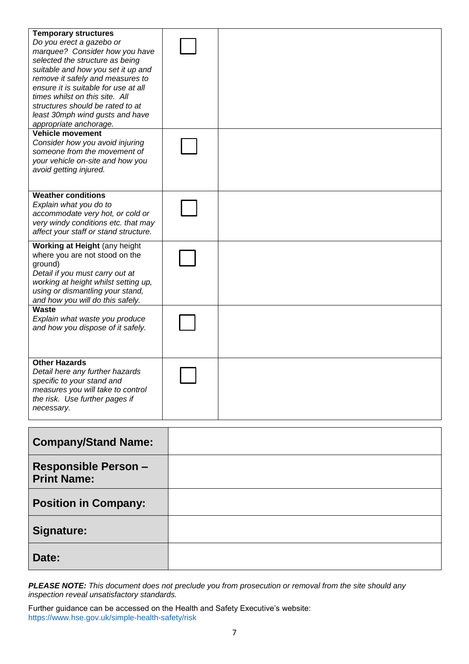| <b>Temporary structures</b><br>Do you erect a gazebo or<br>marquee? Consider how you have<br>selected the structure as being<br>suitable and how you set it up and<br>remove it safely and measures to<br>ensure it is suitable for use at all<br>times whilst on this site. All<br>structures should be rated to at<br>least 30mph wind gusts and have<br>appropriate anchorage. |  |
|-----------------------------------------------------------------------------------------------------------------------------------------------------------------------------------------------------------------------------------------------------------------------------------------------------------------------------------------------------------------------------------|--|
| <b>Vehicle movement</b><br>Consider how you avoid injuring<br>someone from the movement of<br>your vehicle on-site and how you<br>avoid getting injured.                                                                                                                                                                                                                          |  |
| <b>Weather conditions</b><br>Explain what you do to<br>accommodate very hot, or cold or<br>very windy conditions etc. that may<br>affect your staff or stand structure.                                                                                                                                                                                                           |  |
| Working at Height (any height<br>where you are not stood on the<br>ground)<br>Detail if you must carry out at<br>working at height whilst setting up,<br>using or dismantling your stand,<br>and how you will do this safely.                                                                                                                                                     |  |
| Waste<br>Explain what waste you produce<br>and how you dispose of it safely.                                                                                                                                                                                                                                                                                                      |  |
| <b>Other Hazards</b><br>Detail here any further hazards<br>specific to your stand and<br>measures you will take to control<br>the risk. Use further pages if<br>necessary.                                                                                                                                                                                                        |  |
|                                                                                                                                                                                                                                                                                                                                                                                   |  |

| <b>Company/Stand Name:</b>                        |  |
|---------------------------------------------------|--|
| <b>Responsible Person -</b><br><b>Print Name:</b> |  |
| <b>Position in Company:</b>                       |  |
| Signature:                                        |  |
| Date:                                             |  |

*PLEASE NOTE: This document does not preclude you from prosecution or removal from the site should any inspection reveal unsatisfactory standards.* 

Further guidance can be accessed on the Health and Safety Executive's website: <https://www.hse.gov.uk/simple-health-safety/risk>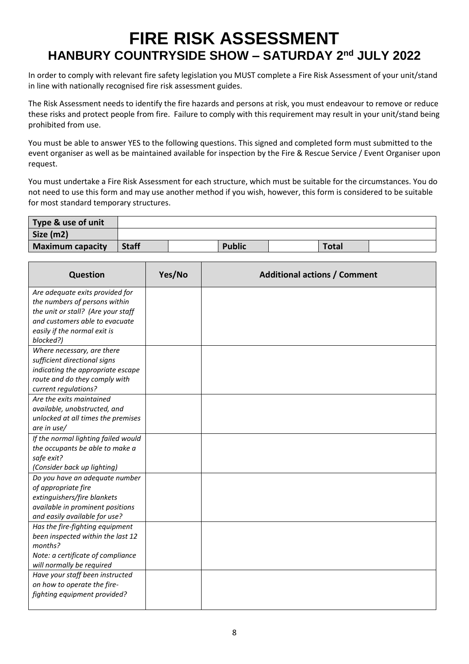## **FIRE RISK ASSESSMENT HANBURY COUNTRYSIDE SHOW – SATURDAY 2nd JULY 2022**

In order to comply with relevant fire safety legislation you MUST complete a Fire Risk Assessment of your unit/stand in line with nationally recognised fire risk assessment guides.

The Risk Assessment needs to identify the fire hazards and persons at risk, you must endeavour to remove or reduce these risks and protect people from fire. Failure to comply with this requirement may result in your unit/stand being prohibited from use.

You must be able to answer YES to the following questions. This signed and completed form must submitted to the event organiser as well as be maintained available for inspection by the Fire & Rescue Service / Event Organiser upon request.

You must undertake a Fire Risk Assessment for each structure, which must be suitable for the circumstances. You do not need to use this form and may use another method if you wish, however, this form is considered to be suitable for most standard temporary structures.

| Type & use of unit |              |               |              |  |
|--------------------|--------------|---------------|--------------|--|
| Size (m2)          |              |               |              |  |
| Maximum capacity   | <b>Staff</b> | <b>Public</b> | <b>Total</b> |  |

| Question                                                           | Yes/No | <b>Additional actions / Comment</b> |
|--------------------------------------------------------------------|--------|-------------------------------------|
| Are adequate exits provided for                                    |        |                                     |
| the numbers of persons within                                      |        |                                     |
| the unit or stall? (Are your staff                                 |        |                                     |
| and customers able to evacuate                                     |        |                                     |
| easily if the normal exit is                                       |        |                                     |
| blocked?)                                                          |        |                                     |
| Where necessary, are there                                         |        |                                     |
| sufficient directional signs                                       |        |                                     |
| indicating the appropriate escape<br>route and do they comply with |        |                                     |
| current regulations?                                               |        |                                     |
| Are the exits maintained                                           |        |                                     |
| available, unobstructed, and                                       |        |                                     |
| unlocked at all times the premises                                 |        |                                     |
| are in $use/$                                                      |        |                                     |
| If the normal lighting failed would                                |        |                                     |
| the occupants be able to make a                                    |        |                                     |
| safe exit?                                                         |        |                                     |
| (Consider back up lighting)                                        |        |                                     |
| Do you have an adequate number                                     |        |                                     |
| of appropriate fire                                                |        |                                     |
| extinguishers/fire blankets                                        |        |                                     |
| available in prominent positions                                   |        |                                     |
| and easily available for use?                                      |        |                                     |
| Has the fire-fighting equipment                                    |        |                                     |
| been inspected within the last 12                                  |        |                                     |
| months?                                                            |        |                                     |
| Note: a certificate of compliance                                  |        |                                     |
| will normally be required                                          |        |                                     |
| Have your staff been instructed                                    |        |                                     |
| on how to operate the fire-                                        |        |                                     |
| fighting equipment provided?                                       |        |                                     |
|                                                                    |        |                                     |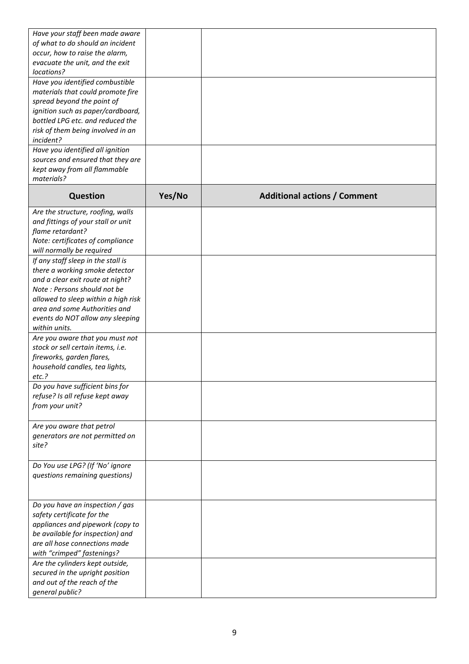| Have your staff been made aware<br>of what to do should an incident<br>occur, how to raise the alarm,                                                                                                           |        |                                     |
|-----------------------------------------------------------------------------------------------------------------------------------------------------------------------------------------------------------------|--------|-------------------------------------|
| evacuate the unit, and the exit<br>locations?                                                                                                                                                                   |        |                                     |
| Have you identified combustible<br>materials that could promote fire<br>spread beyond the point of<br>ignition such as paper/cardboard,                                                                         |        |                                     |
| bottled LPG etc. and reduced the<br>risk of them being involved in an<br>incident?                                                                                                                              |        |                                     |
| Have you identified all ignition<br>sources and ensured that they are<br>kept away from all flammable<br>materials?                                                                                             |        |                                     |
| <b>Question</b>                                                                                                                                                                                                 | Yes/No | <b>Additional actions / Comment</b> |
| Are the structure, roofing, walls<br>and fittings of your stall or unit<br>flame retardant?<br>Note: certificates of compliance<br>will normally be required                                                    |        |                                     |
| If any staff sleep in the stall is<br>there a working smoke detector<br>and a clear exit route at night?<br>Note: Persons should not be<br>allowed to sleep within a high risk<br>area and some Authorities and |        |                                     |
| events do NOT allow any sleeping<br>within units.                                                                                                                                                               |        |                                     |
| Are you aware that you must not<br>stock or sell certain items, i.e.<br>fireworks, garden flares,<br>household candles, tea lights,<br>etc.?                                                                    |        |                                     |
| Do you have sufficient bins for<br>refuse? Is all refuse kept away<br>from your unit?                                                                                                                           |        |                                     |
| Are you aware that petrol<br>generators are not permitted on<br>site?                                                                                                                                           |        |                                     |
| Do You use LPG? (If 'No' ignore<br>questions remaining questions)                                                                                                                                               |        |                                     |
| Do you have an inspection / gas<br>safety certificate for the<br>appliances and pipework (copy to<br>be available for inspection) and<br>are all hose connections made<br>with "crimped" fastenings?            |        |                                     |
| Are the cylinders kept outside,<br>secured in the upright position<br>and out of the reach of the<br>general public?                                                                                            |        |                                     |